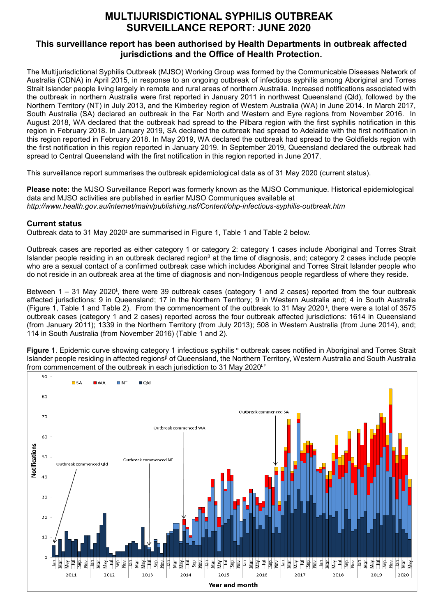## **MULTIJURISDICTIONAL SYPHILIS OUTBREAK SURVEILLANCE REPORT: JUNE 2020**

## **This surveillance report has been authorised by Health Departments in outbreak affected jurisdictions and the Office of Health Protection.**

The Multijurisdictional Syphilis Outbreak (MJSO) Working Group was formed by the Communicable Diseases Network of Australia (CDNA) in April 2015, in response to an ongoing outbreak of infectious syphilis among Aboriginal and Torres Strait Islander people living largely in remote and rural areas of northern Australia. Increased notifications associated with the outbreak in northern Australia were first reported in January 2011 in northwest Queensland (Qld), followed by the Northern Territory (NT) in July 2013, and the Kimberley region of Western Australia (WA) in June 2014. In March 2017, South Australia (SA) declared an outbreak in the Far North and Western and Eyre regions from November 2016. In August 2018, WA declared that the outbreak had spread to the Pilbara region with the first syphilis notification in this region in February 2018. In January 2019, SA declared the outbreak had spread to Adelaide with the first notification in this region reported in February 2018. In May 2019, WA declared the outbreak had spread to the Goldfields region with the first notification in this region reported in January 2019. In September 2019, Queensland declared the outbreak had spread to Central Queensland with the first notification in this region reported in June 2017.

This surveillance report summarises the outbreak epidemiological data as of 31 May 2020 (current status).

**Please note:** the MJSO Surveillance Report was formerly known as the MJSO Communique. Historical epidemiological data and MJSO activities are published in earlier MJSO Communiques available at *http://www.health.gov.au/internet/main/publishing.nsf/Content/ohp-infectious-syphilis-outbreak.htm* 

## **Current status**

Outbreak data to 31 May 2020<sup>t</sup> are summarised in Figure 1, Table 1 and Table 2 below.

Outbreak cases are reported as either category 1 or category 2: category 1 cases include Aboriginal and Torres Strait Islander people residing in an outbreak declared region $\beta$  at the time of diagnosis, and; category 2 cases include people who are a sexual contact of a confirmed outbreak case which includes Aboriginal and Torres Strait Islander people who do not reside in an outbreak area at the time of diagnosis and non-Indigenous people regardless of where they reside.

Between 1 – 31 May 2020<sup>t</sup>, there were 39 outbreak cases (category 1 and 2 cases) reported from the four outbreak affected jurisdictions: 9 in Queensland; 17 in the Northern Territory; 9 in Western Australia and; 4 in South Australia (Figure 1, Table 1 and Table 2). From the commencement of the outbreak to 31 May 2020 <sup>ȶ</sup> , there were a total of 3575 outbreak cases (category 1 and 2 cases) reported across the four outbreak affected jurisdictions: 1614 in Queensland (from January 2011); 1339 in the Northern Territory (from July 2013); 508 in Western Australia (from June 2014), and; 114 in South Australia (from November 2016) (Table 1 and 2).

Figure 1. Epidemic curve showing category 1 infectious syphilis<sup> α</sup> outbreak cases notified in Aboriginal and Torres Strait Islander people residing in affected regions<sup>β</sup> of Queensland, the Northern Territory, Western Australia and South Australia from commencement of the outbreak in each jurisdiction to 31 May 2020<sup> $\frac{1}{x}$ </sup>